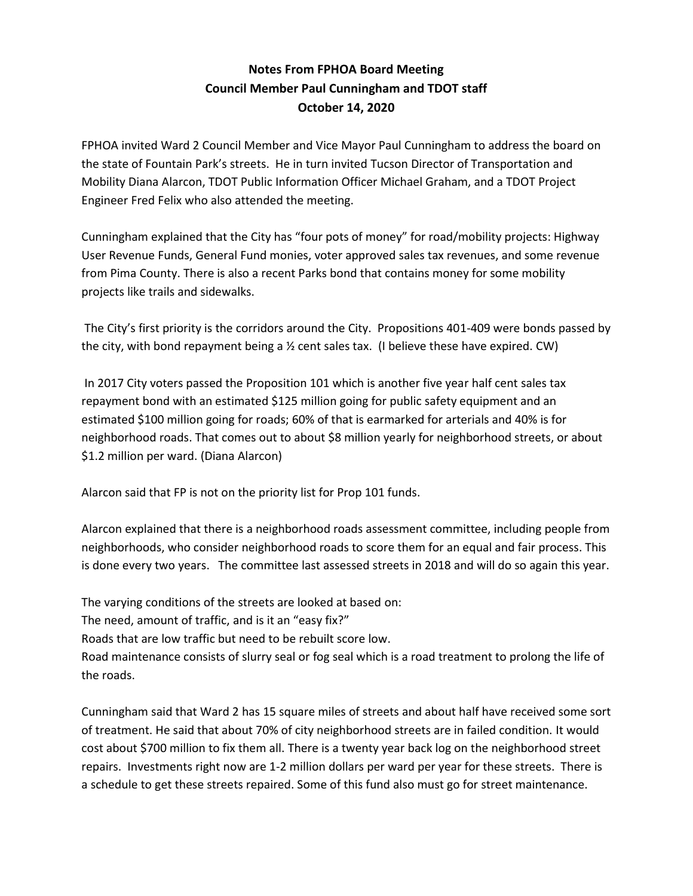## **Notes From FPHOA Board Meeting Council Member Paul Cunningham and TDOT staff October 14, 2020**

FPHOA invited Ward 2 Council Member and Vice Mayor Paul Cunningham to address the board on the state of Fountain Park's streets. He in turn invited Tucson Director of Transportation and Mobility Diana Alarcon, TDOT Public Information Officer Michael Graham, and a TDOT Project Engineer Fred Felix who also attended the meeting.

Cunningham explained that the City has "four pots of money" for road/mobility projects: Highway User Revenue Funds, General Fund monies, voter approved sales tax revenues, and some revenue from Pima County. There is also a recent Parks bond that contains money for some mobility projects like trails and sidewalks.

The City's first priority is the corridors around the City. Propositions 401-409 were bonds passed by the city, with bond repayment being a  $\frac{1}{2}$  cent sales tax. (I believe these have expired. CW)

In 2017 City voters passed the Proposition 101 which is another five year half cent sales tax repayment bond with an estimated \$125 million going for public safety equipment and an estimated \$100 million going for roads; 60% of that is earmarked for arterials and 40% is for neighborhood roads. That comes out to about \$8 million yearly for neighborhood streets, or about \$1.2 million per ward. (Diana Alarcon)

Alarcon said that FP is not on the priority list for Prop 101 funds.

Alarcon explained that there is a neighborhood roads assessment committee, including people from neighborhoods, who consider neighborhood roads to score them for an equal and fair process. This is done every two years. The committee last assessed streets in 2018 and will do so again this year.

The varying conditions of the streets are looked at based on: The need, amount of traffic, and is it an "easy fix?" Roads that are low traffic but need to be rebuilt score low. Road maintenance consists of slurry seal or fog seal which is a road treatment to prolong the life of the roads.

Cunningham said that Ward 2 has 15 square miles of streets and about half have received some sort of treatment. He said that about 70% of city neighborhood streets are in failed condition. It would cost about \$700 million to fix them all. There is a twenty year back log on the neighborhood street repairs. Investments right now are 1-2 million dollars per ward per year for these streets. There is a schedule to get these streets repaired. Some of this fund also must go for street maintenance.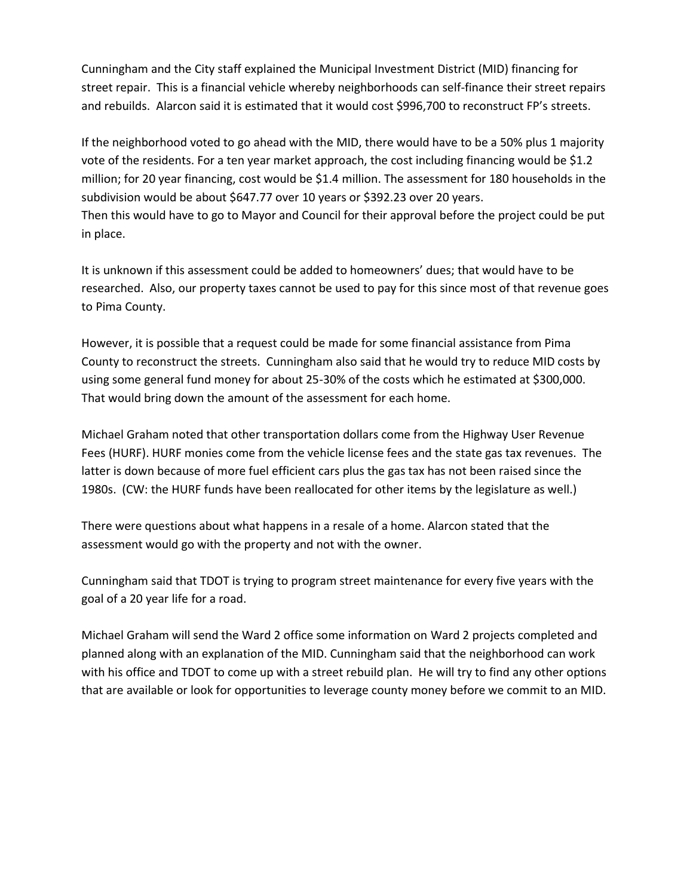Cunningham and the City staff explained the Municipal Investment District (MID) financing for street repair. This is a financial vehicle whereby neighborhoods can self-finance their street repairs and rebuilds. Alarcon said it is estimated that it would cost \$996,700 to reconstruct FP's streets.

If the neighborhood voted to go ahead with the MID, there would have to be a 50% plus 1 majority vote of the residents. For a ten year market approach, the cost including financing would be \$1.2 million; for 20 year financing, cost would be \$1.4 million. The assessment for 180 households in the subdivision would be about \$647.77 over 10 years or \$392.23 over 20 years. Then this would have to go to Mayor and Council for their approval before the project could be put in place.

It is unknown if this assessment could be added to homeowners' dues; that would have to be researched. Also, our property taxes cannot be used to pay for this since most of that revenue goes to Pima County.

However, it is possible that a request could be made for some financial assistance from Pima County to reconstruct the streets. Cunningham also said that he would try to reduce MID costs by using some general fund money for about 25-30% of the costs which he estimated at \$300,000. That would bring down the amount of the assessment for each home.

Michael Graham noted that other transportation dollars come from the Highway User Revenue Fees (HURF). HURF monies come from the vehicle license fees and the state gas tax revenues. The latter is down because of more fuel efficient cars plus the gas tax has not been raised since the 1980s. (CW: the HURF funds have been reallocated for other items by the legislature as well.)

There were questions about what happens in a resale of a home. Alarcon stated that the assessment would go with the property and not with the owner.

Cunningham said that TDOT is trying to program street maintenance for every five years with the goal of a 20 year life for a road.

Michael Graham will send the Ward 2 office some information on Ward 2 projects completed and planned along with an explanation of the MID. Cunningham said that the neighborhood can work with his office and TDOT to come up with a street rebuild plan. He will try to find any other options that are available or look for opportunities to leverage county money before we commit to an MID.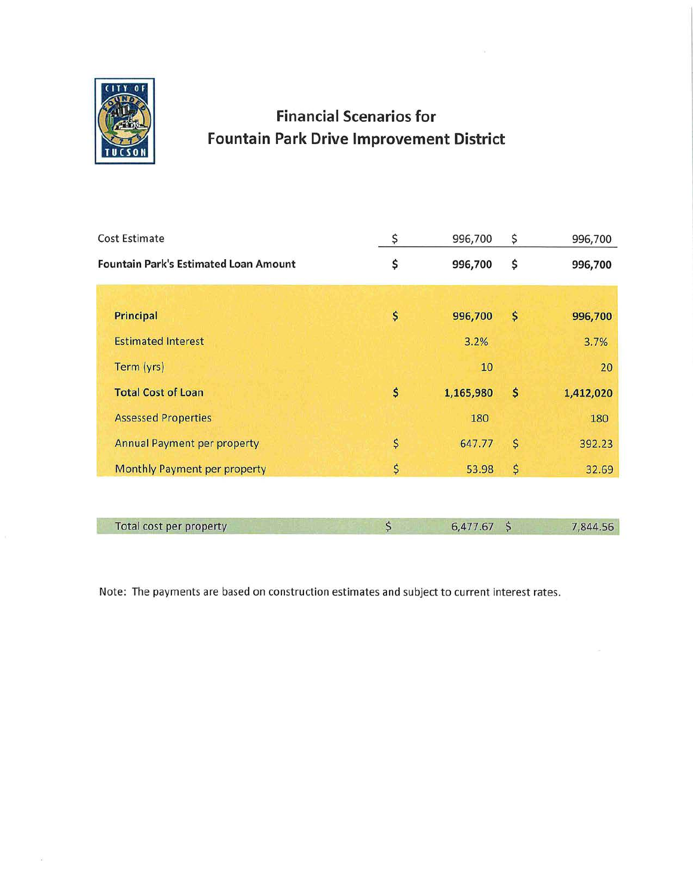

## **Financial Scenarios for Fountain Park Drive Improvement District**

| <b>Cost Estimate</b>                         | \$<br>996,700   | \$                  | 996,700   |
|----------------------------------------------|-----------------|---------------------|-----------|
| <b>Fountain Park's Estimated Loan Amount</b> | \$<br>996,700   | \$                  | 996,700   |
|                                              |                 |                     |           |
| Principal                                    | \$<br>996,700   | \$                  | 996,700   |
| <b>Estimated Interest</b>                    | 3.2%            |                     | 3.7%      |
| Term (yrs)                                   | 10              |                     | 20        |
| <b>Total Cost of Loan</b>                    | \$<br>1,165,980 | \$                  | 1,412,020 |
| <b>Assessed Properties</b>                   | 180             |                     | 180       |
| <b>Annual Payment per property</b>           | \$<br>647.77    | \$                  | 392.23    |
| Monthly Payment per property                 | \$<br>53.98     | \$                  | 32.69     |
|                                              |                 |                     |           |
| Total cost per property                      | \$<br>6,477.67  | $\ddot{\mathsf{S}}$ | 7,844.56  |

Note: The payments are based on construction estimates and subject to current interest rates.